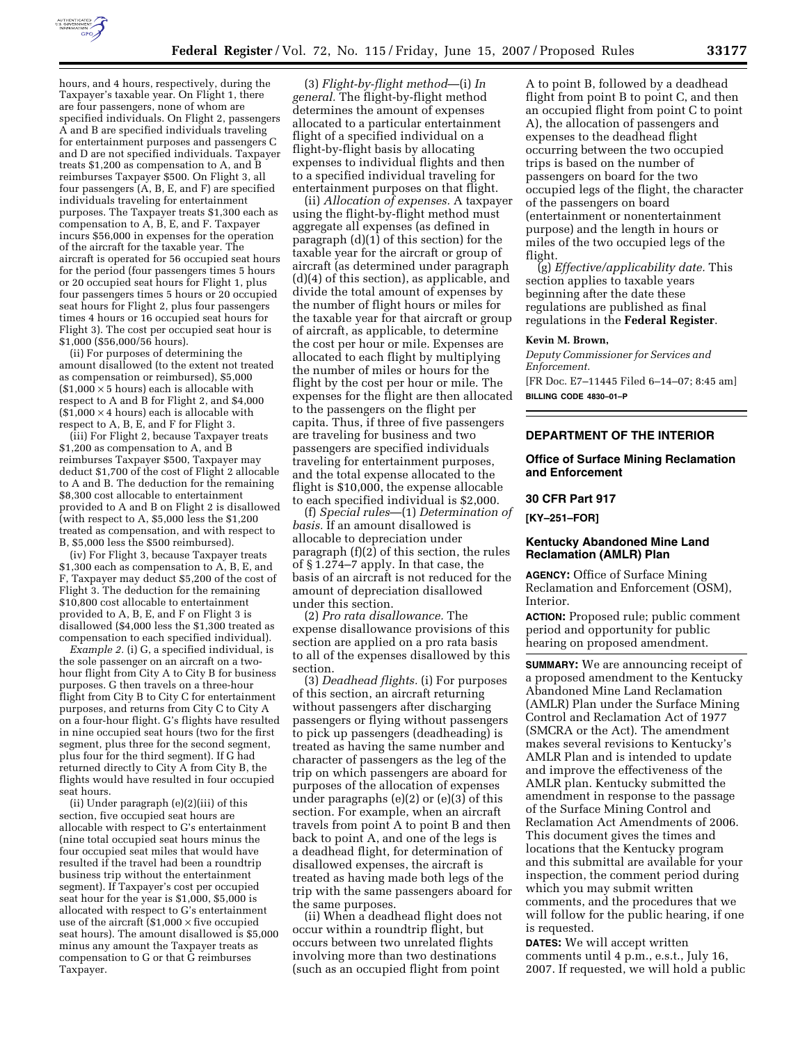

hours, and 4 hours, respectively, during the Taxpayer's taxable year. On Flight 1, there are four passengers, none of whom are specified individuals. On Flight 2, passengers A and B are specified individuals traveling for entertainment purposes and passengers C and D are not specified individuals. Taxpayer treats \$1,200 as compensation to A, and B reimburses Taxpayer \$500. On Flight 3, all four passengers (A, B, E, and F) are specified individuals traveling for entertainment purposes. The Taxpayer treats \$1,300 each as compensation to A, B, E, and F. Taxpayer incurs \$56,000 in expenses for the operation of the aircraft for the taxable year. The aircraft is operated for 56 occupied seat hours for the period (four passengers times 5 hours or 20 occupied seat hours for Flight 1, plus four passengers times 5 hours or 20 occupied seat hours for Flight 2, plus four passengers times 4 hours or 16 occupied seat hours for Flight 3). The cost per occupied seat hour is \$1,000 (\$56,000/56 hours).

(ii) For purposes of determining the amount disallowed (to the extent not treated as compensation or reimbursed), \$5,000  $($1,000 \times 5$ hours)$  each is allocable with respect to A and B for Flight 2, and \$4,000  $($1,000 \times 4$ hours)$  each is allocable with respect to A, B, E, and F for Flight 3.

(iii) For Flight 2, because Taxpayer treats \$1,200 as compensation to A, and B reimburses Taxpayer \$500, Taxpayer may deduct \$1,700 of the cost of Flight 2 allocable to A and B. The deduction for the remaining \$8,300 cost allocable to entertainment provided to A and B on Flight 2 is disallowed (with respect to A,  $$5,000$  less the  $$1,200$ treated as compensation, and with respect to B, \$5,000 less the \$500 reimbursed).

(iv) For Flight 3, because Taxpayer treats \$1,300 each as compensation to A, B, E, and F, Taxpayer may deduct \$5,200 of the cost of Flight 3. The deduction for the remaining \$10,800 cost allocable to entertainment provided to A, B, E, and F on Flight 3 is disallowed (\$4,000 less the \$1,300 treated as compensation to each specified individual).

*Example 2.* (i) G, a specified individual, is the sole passenger on an aircraft on a twohour flight from City A to City B for business purposes. G then travels on a three-hour flight from City B to City C for entertainment purposes, and returns from City C to City A on a four-hour flight. G's flights have resulted in nine occupied seat hours (two for the first segment, plus three for the second segment, plus four for the third segment). If G had returned directly to City A from City B, the flights would have resulted in four occupied seat hours.

(ii) Under paragraph (e)(2)(iii) of this section, five occupied seat hours are allocable with respect to G's entertainment (nine total occupied seat hours minus the four occupied seat miles that would have resulted if the travel had been a roundtrip business trip without the entertainment segment). If Taxpayer's cost per occupied seat hour for the year is \$1,000, \$5,000 is allocated with respect to G's entertainment use of the aircraft  $(\$1,000 \times \text{five occupied})$ seat hours). The amount disallowed is \$5,000 minus any amount the Taxpayer treats as compensation to G or that G reimburses Taxpayer.

(3) *Flight-by-flight method*—(i) *In general.* The flight-by-flight method determines the amount of expenses allocated to a particular entertainment flight of a specified individual on a flight-by-flight basis by allocating expenses to individual flights and then to a specified individual traveling for entertainment purposes on that flight.

(ii) *Allocation of expenses.* A taxpayer using the flight-by-flight method must aggregate all expenses (as defined in paragraph (d)(1) of this section) for the taxable year for the aircraft or group of aircraft (as determined under paragraph (d)(4) of this section), as applicable, and divide the total amount of expenses by the number of flight hours or miles for the taxable year for that aircraft or group of aircraft, as applicable, to determine the cost per hour or mile. Expenses are allocated to each flight by multiplying the number of miles or hours for the flight by the cost per hour or mile. The expenses for the flight are then allocated to the passengers on the flight per capita. Thus, if three of five passengers are traveling for business and two passengers are specified individuals traveling for entertainment purposes, and the total expense allocated to the flight is \$10,000, the expense allocable to each specified individual is \$2,000.

(f) *Special rules*—(1) *Determination of basis.* If an amount disallowed is allocable to depreciation under paragraph (f)(2) of this section, the rules of § 1.274–7 apply. In that case, the basis of an aircraft is not reduced for the amount of depreciation disallowed under this section.

(2) *Pro rata disallowance.* The expense disallowance provisions of this section are applied on a pro rata basis to all of the expenses disallowed by this section.

(3) *Deadhead flights.* (i) For purposes of this section, an aircraft returning without passengers after discharging passengers or flying without passengers to pick up passengers (deadheading) is treated as having the same number and character of passengers as the leg of the trip on which passengers are aboard for purposes of the allocation of expenses under paragraphs (e)(2) or (e)(3) of this section. For example, when an aircraft travels from point A to point B and then back to point A, and one of the legs is a deadhead flight, for determination of disallowed expenses, the aircraft is treated as having made both legs of the trip with the same passengers aboard for the same purposes.

(ii) When a deadhead flight does not occur within a roundtrip flight, but occurs between two unrelated flights involving more than two destinations (such as an occupied flight from point

A to point B, followed by a deadhead flight from point B to point C, and then an occupied flight from point C to point A), the allocation of passengers and expenses to the deadhead flight occurring between the two occupied trips is based on the number of passengers on board for the two occupied legs of the flight, the character of the passengers on board (entertainment or nonentertainment purpose) and the length in hours or miles of the two occupied legs of the flight.

(g) *Effective/applicability date.* This section applies to taxable years beginning after the date these regulations are published as final regulations in the **Federal Register**.

#### **Kevin M. Brown,**

*Deputy Commissioner for Services and Enforcement.*  [FR Doc. E7–11445 Filed 6–14–07; 8:45 am] **BILLING CODE 4830–01–P** 

# **DEPARTMENT OF THE INTERIOR**

#### **Office of Surface Mining Reclamation and Enforcement**

#### **30 CFR Part 917**

**[KY–251–FOR]** 

## **Kentucky Abandoned Mine Land Reclamation (AMLR) Plan**

**AGENCY:** Office of Surface Mining Reclamation and Enforcement (OSM), Interior.

**ACTION:** Proposed rule; public comment period and opportunity for public hearing on proposed amendment.

**SUMMARY:** We are announcing receipt of a proposed amendment to the Kentucky Abandoned Mine Land Reclamation (AMLR) Plan under the Surface Mining Control and Reclamation Act of 1977 (SMCRA or the Act). The amendment makes several revisions to Kentucky's AMLR Plan and is intended to update and improve the effectiveness of the AMLR plan. Kentucky submitted the amendment in response to the passage of the Surface Mining Control and Reclamation Act Amendments of 2006. This document gives the times and locations that the Kentucky program and this submittal are available for your inspection, the comment period during which you may submit written comments, and the procedures that we will follow for the public hearing, if one is requested.

**DATES:** We will accept written comments until 4 p.m., e.s.t., July 16, 2007. If requested, we will hold a public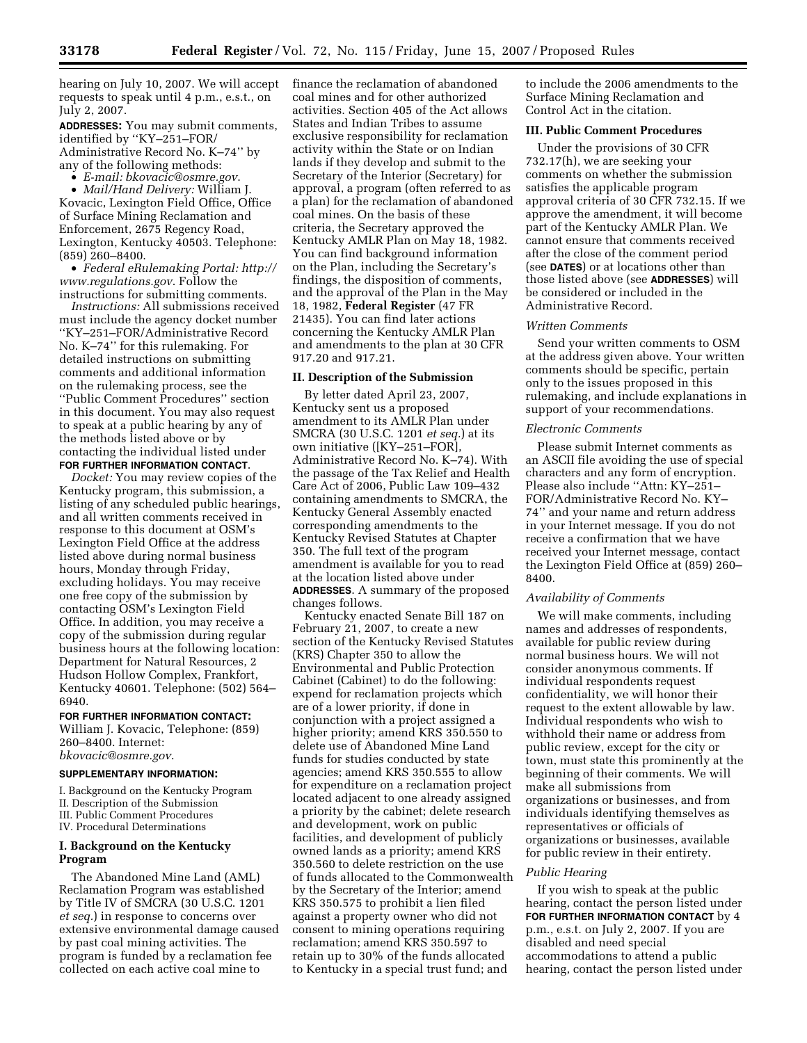hearing on July 10, 2007. We will accept requests to speak until 4 p.m., e.s.t., on July 2, 2007.

**ADDRESSES:** You may submit comments, identified by ''KY–251–FOR/ Administrative Record No. K–74'' by any of the following methods:

• *E-mail: bkovacic@osmre.gov*.

• *Mail/Hand Delivery:* William J. Kovacic, Lexington Field Office, Office of Surface Mining Reclamation and Enforcement, 2675 Regency Road, Lexington, Kentucky 40503. Telephone: (859) 260–8400.

• *Federal eRulemaking Portal: http:// www.regulations.gov*. Follow the instructions for submitting comments.

*Instructions:* All submissions received must include the agency docket number ''KY–251–FOR/Administrative Record No. K–74'' for this rulemaking. For detailed instructions on submitting comments and additional information on the rulemaking process, see the ''Public Comment Procedures'' section in this document. You may also request to speak at a public hearing by any of the methods listed above or by contacting the individual listed under **FOR FURTHER INFORMATION CONTACT**.

*Docket:* You may review copies of the Kentucky program, this submission, a listing of any scheduled public hearings, and all written comments received in response to this document at OSM's Lexington Field Office at the address listed above during normal business hours, Monday through Friday, excluding holidays. You may receive one free copy of the submission by contacting OSM's Lexington Field Office. In addition, you may receive a copy of the submission during regular business hours at the following location: Department for Natural Resources, 2 Hudson Hollow Complex, Frankfort, Kentucky 40601. Telephone: (502) 564– 6940.

## **FOR FURTHER INFORMATION CONTACT:**

William J. Kovacic, Telephone: (859) 260–8400. Internet: *bkovacic@osmre.gov*.

#### **SUPPLEMENTARY INFORMATION:**

I. Background on the Kentucky Program II. Description of the Submission III. Public Comment Procedures

IV. Procedural Determinations

#### **I. Background on the Kentucky Program**

The Abandoned Mine Land (AML) Reclamation Program was established by Title IV of SMCRA (30 U.S.C. 1201 *et seq.*) in response to concerns over extensive environmental damage caused by past coal mining activities. The program is funded by a reclamation fee collected on each active coal mine to

finance the reclamation of abandoned coal mines and for other authorized activities. Section 405 of the Act allows States and Indian Tribes to assume exclusive responsibility for reclamation activity within the State or on Indian lands if they develop and submit to the Secretary of the Interior (Secretary) for approval, a program (often referred to as a plan) for the reclamation of abandoned coal mines. On the basis of these criteria, the Secretary approved the Kentucky AMLR Plan on May 18, 1982. You can find background information on the Plan, including the Secretary's findings, the disposition of comments, and the approval of the Plan in the May 18, 1982, **Federal Register** (47 FR 21435). You can find later actions concerning the Kentucky AMLR Plan and amendments to the plan at 30 CFR 917.20 and 917.21.

## **II. Description of the Submission**

By letter dated April 23, 2007, Kentucky sent us a proposed amendment to its AMLR Plan under SMCRA (30 U.S.C. 1201 *et seq.*) at its own initiative ([KY–251–FOR], Administrative Record No. K–74). With the passage of the Tax Relief and Health Care Act of 2006, Public Law 109–432 containing amendments to SMCRA, the Kentucky General Assembly enacted corresponding amendments to the Kentucky Revised Statutes at Chapter 350. The full text of the program amendment is available for you to read at the location listed above under **ADDRESSES**. A summary of the proposed changes follows.

Kentucky enacted Senate Bill 187 on February 21, 2007, to create a new section of the Kentucky Revised Statutes (KRS) Chapter 350 to allow the Environmental and Public Protection Cabinet (Cabinet) to do the following: expend for reclamation projects which are of a lower priority, if done in conjunction with a project assigned a higher priority; amend KRS 350.550 to delete use of Abandoned Mine Land funds for studies conducted by state agencies; amend KRS 350.555 to allow for expenditure on a reclamation project located adjacent to one already assigned a priority by the cabinet; delete research and development, work on public facilities, and development of publicly owned lands as a priority; amend KRS 350.560 to delete restriction on the use of funds allocated to the Commonwealth by the Secretary of the Interior; amend KRS 350.575 to prohibit a lien filed against a property owner who did not consent to mining operations requiring reclamation; amend KRS 350.597 to retain up to 30% of the funds allocated to Kentucky in a special trust fund; and

to include the 2006 amendments to the Surface Mining Reclamation and Control Act in the citation.

## **III. Public Comment Procedures**

Under the provisions of 30 CFR 732.17(h), we are seeking your comments on whether the submission satisfies the applicable program approval criteria of 30 CFR 732.15. If we approve the amendment, it will become part of the Kentucky AMLR Plan. We cannot ensure that comments received after the close of the comment period (see **DATES**) or at locations other than those listed above (see **ADDRESSES**) will be considered or included in the Administrative Record.

#### *Written Comments*

Send your written comments to OSM at the address given above. Your written comments should be specific, pertain only to the issues proposed in this rulemaking, and include explanations in support of your recommendations.

## *Electronic Comments*

Please submit Internet comments as an ASCII file avoiding the use of special characters and any form of encryption. Please also include ''Attn: KY–251– FOR/Administrative Record No. KY– 74'' and your name and return address in your Internet message. If you do not receive a confirmation that we have received your Internet message, contact the Lexington Field Office at (859) 260– 8400.

#### *Availability of Comments*

We will make comments, including names and addresses of respondents, available for public review during normal business hours. We will not consider anonymous comments. If individual respondents request confidentiality, we will honor their request to the extent allowable by law. Individual respondents who wish to withhold their name or address from public review, except for the city or town, must state this prominently at the beginning of their comments. We will make all submissions from organizations or businesses, and from individuals identifying themselves as representatives or officials of organizations or businesses, available for public review in their entirety.

#### *Public Hearing*

If you wish to speak at the public hearing, contact the person listed under **FOR FURTHER INFORMATION CONTACT** by 4 p.m., e.s.t. on July 2, 2007. If you are disabled and need special accommodations to attend a public hearing, contact the person listed under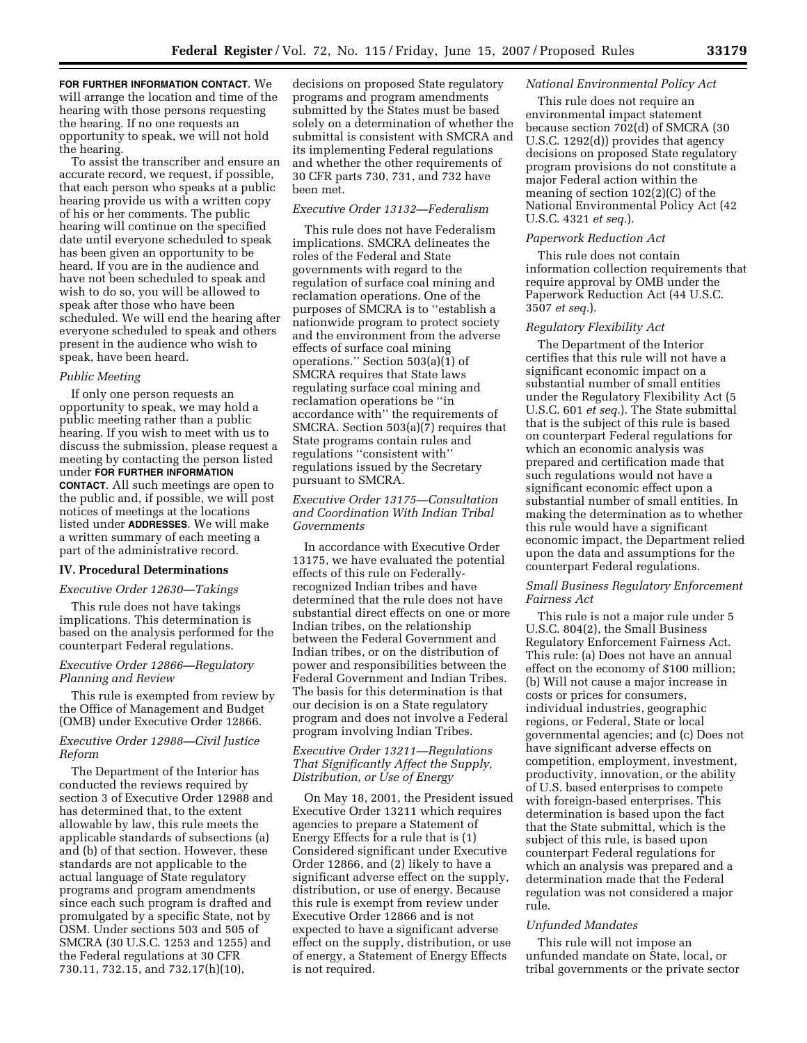**FOR FURTHER INFORMATION CONTACT**. We will arrange the location and time of the hearing with those persons requesting the hearing. If no one requests an opportunity to speak, we will not hold the hearing.

To assist the transcriber and ensure an accurate record, we request, if possible, that each person who speaks at a public hearing provide us with a written copy of his or her comments. The public hearing will continue on the specified date until everyone scheduled to speak has been given an opportunity to be heard. If you are in the audience and have not been scheduled to speak and wish to do so, you will be allowed to speak after those who have been scheduled. We will end the hearing after everyone scheduled to speak and others present in the audience who wish to speak, have been heard.

#### *Public Meeting*

If only one person requests an opportunity to speak, we may hold a public meeting rather than a public hearing. If you wish to meet with us to discuss the submission, please request a meeting by contacting the person listed under **FOR FURTHER INFORMATION CONTACT**. All such meetings are open to the public and, if possible, we will post notices of meetings at the locations listed under **ADDRESSES**. We will make a written summary of each meeting a part of the administrative record.

## **IV. Procedural Determinations**

#### *Executive Order 12630—Takings*

This rule does not have takings implications. This determination is based on the analysis performed for the counterpart Federal regulations.

## *Executive Order 12866—Regulatory Planning and Review*

This rule is exempted from review by the Office of Management and Budget (OMB) under Executive Order 12866.

## *Executive Order 12988—Civil Justice Reform*

The Department of the Interior has conducted the reviews required by section 3 of Executive Order 12988 and has determined that, to the extent allowable by law, this rule meets the applicable standards of subsections (a) and (b) of that section. However, these standards are not applicable to the actual language of State regulatory programs and program amendments since each such program is drafted and promulgated by a specific State, not by OSM. Under sections 503 and 505 of SMCRA (30 U.S.C. 1253 and 1255) and the Federal regulations at 30 CFR 730.11, 732.15, and 732.17(h)(10),

decisions on proposed State regulatory programs and program amendments submitted by the States must be based solely on a determination of whether the submittal is consistent with SMCRA and its implementing Federal regulations and whether the other requirements of 30 CFR parts 730, 731, and 732 have been met.

# *Executive Order 13132—Federalism*

This rule does not have Federalism implications. SMCRA delineates the roles of the Federal and State governments with regard to the regulation of surface coal mining and reclamation operations. One of the purposes of SMCRA is to ''establish a nationwide program to protect society and the environment from the adverse effects of surface coal mining operations.'' Section 503(a)(1) of SMCRA requires that State laws regulating surface coal mining and reclamation operations be ''in accordance with'' the requirements of SMCRA. Section 503(a)(7) requires that State programs contain rules and regulations ''consistent with'' regulations issued by the Secretary pursuant to SMCRA.

## *Executive Order 13175—Consultation and Coordination With Indian Tribal Governments*

In accordance with Executive Order 13175, we have evaluated the potential effects of this rule on Federallyrecognized Indian tribes and have determined that the rule does not have substantial direct effects on one or more Indian tribes, on the relationship between the Federal Government and Indian tribes, or on the distribution of power and responsibilities between the Federal Government and Indian Tribes. The basis for this determination is that our decision is on a State regulatory program and does not involve a Federal program involving Indian Tribes.

## *Executive Order 13211—Regulations That Significantly Affect the Supply, Distribution, or Use of Energy*

On May 18, 2001, the President issued Executive Order 13211 which requires agencies to prepare a Statement of Energy Effects for a rule that is (1) Considered significant under Executive Order 12866, and (2) likely to have a significant adverse effect on the supply, distribution, or use of energy. Because this rule is exempt from review under Executive Order 12866 and is not expected to have a significant adverse effect on the supply, distribution, or use of energy, a Statement of Energy Effects is not required.

#### *National Environmental Policy Act*

This rule does not require an environmental impact statement because section 702(d) of SMCRA (30 U.S.C. 1292(d)) provides that agency decisions on proposed State regulatory program provisions do not constitute a major Federal action within the meaning of section 102(2)(C) of the National Environmental Policy Act (42 U.S.C. 4321 *et seq.*).

## *Paperwork Reduction Act*

This rule does not contain information collection requirements that require approval by OMB under the Paperwork Reduction Act (44 U.S.C. 3507 *et seq.*).

#### *Regulatory Flexibility Act*

The Department of the Interior certifies that this rule will not have a significant economic impact on a substantial number of small entities under the Regulatory Flexibility Act (5 U.S.C. 601 *et seq.*). The State submittal that is the subject of this rule is based on counterpart Federal regulations for which an economic analysis was prepared and certification made that such regulations would not have a significant economic effect upon a substantial number of small entities. In making the determination as to whether this rule would have a significant economic impact, the Department relied upon the data and assumptions for the counterpart Federal regulations.

## *Small Business Regulatory Enforcement Fairness Act*

This rule is not a major rule under 5 U.S.C. 804(2), the Small Business Regulatory Enforcement Fairness Act. This rule: (a) Does not have an annual effect on the economy of \$100 million; (b) Will not cause a major increase in costs or prices for consumers, individual industries, geographic regions, or Federal, State or local governmental agencies; and (c) Does not have significant adverse effects on competition, employment, investment, productivity, innovation, or the ability of U.S. based enterprises to compete with foreign-based enterprises. This determination is based upon the fact that the State submittal, which is the subject of this rule, is based upon counterpart Federal regulations for which an analysis was prepared and a determination made that the Federal regulation was not considered a major rule.

#### *Unfunded Mandates*

This rule will not impose an unfunded mandate on State, local, or tribal governments or the private sector